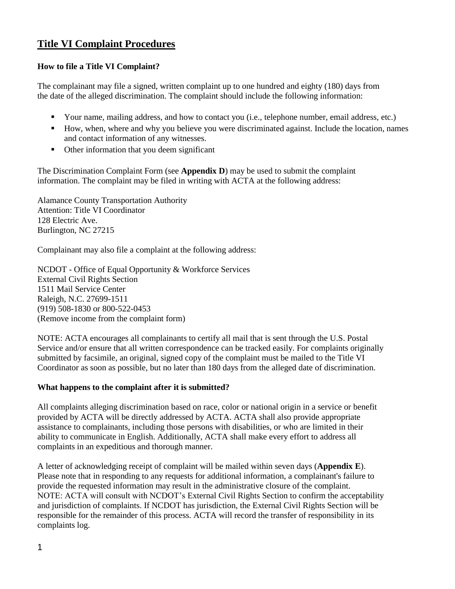## **Title VI Complaint Procedures**

### **How to file a Title VI Complaint?**

The complainant may file a signed, written complaint up to one hundred and eighty (180) days from the date of the alleged discrimination. The complaint should include the following information:

- Your name, mailing address, and how to contact you (i.e., telephone number, email address, etc.)
- How, when, where and why you believe you were discriminated against. Include the location, names and contact information of any witnesses.
- Other information that you deem significant

The Discrimination Complaint Form (see **Appendix D**) may be used to submit the complaint information. The complaint may be filed in writing with ACTA at the following address:

Alamance County Transportation Authority Attention: Title VI Coordinator 128 Electric Ave. Burlington, NC 27215

Complainant may also file a complaint at the following address:

NCDOT - Office of Equal Opportunity & Workforce Services External Civil Rights Section 1511 Mail Service Center Raleigh, N.C. 27699-1511 (919) 508-1830 or 800-522-0453 (Remove income from the complaint form)

NOTE: ACTA encourages all complainants to certify all mail that is sent through the U.S. Postal Service and/or ensure that all written correspondence can be tracked easily. For complaints originally submitted by facsimile, an original, signed copy of the complaint must be mailed to the Title VI Coordinator as soon as possible, but no later than 180 days from the alleged date of discrimination.

#### **What happens to the complaint after it is submitted?**

All complaints alleging discrimination based on race, color or national origin in a service or benefit provided by ACTA will be directly addressed by ACTA. ACTA shall also provide appropriate assistance to complainants, including those persons with disabilities, or who are limited in their ability to communicate in English. Additionally, ACTA shall make every effort to address all complaints in an expeditious and thorough manner.

A letter of acknowledging receipt of complaint will be mailed within seven days (**Appendix E**). Please note that in responding to any requests for additional information, a complainant's failure to provide the requested information may result in the administrative closure of the complaint. NOTE: ACTA will consult with NCDOT's External Civil Rights Section to confirm the acceptability and jurisdiction of complaints. If NCDOT has jurisdiction, the External Civil Rights Section will be responsible for the remainder of this process. ACTA will record the transfer of responsibility in its complaints log.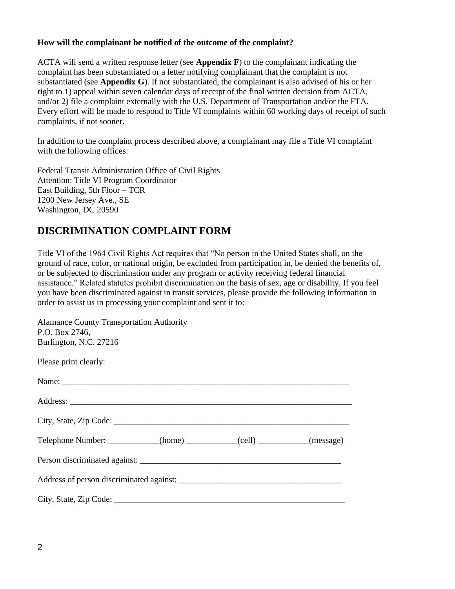#### **How will the complainant be notified of the outcome of the complaint?**

ACTA will send a written response letter (see **Appendix F**) to the complainant indicating the complaint has been substantiated or a letter notifying complainant that the complaint is not substantiated (see **Appendix G**). If not substantiated, the complainant is also advised of his or her right to 1) appeal within seven calendar days of receipt of the final written decision from ACTA, and/or 2) file a complaint externally with the U.S. Department of Transportation and/or the FTA. Every effort will be made to respond to Title VI complaints within 60 working days of receipt of such complaints, if not sooner.

In addition to the complaint process described above, a complainant may file a Title VI complaint with the following offices:

Federal Transit Administration Office of Civil Rights Attention: Title VI Program Coordinator East Building, 5th Floor – TCR 1200 New Jersey Ave., SE Washington, DC 20590

# **DISCRIMINATION COMPLAINT FORM**

Title VI of the 1964 Civil Rights Act requires that "No person in the United States shall, on the ground of race, color, or national origin, be excluded from participation in, be denied the benefits of, or be subjected to discrimination under any program or activity receiving federal financial assistance." Related statutes prohibit discrimination on the basis of sex, age or disability. If you feel you have been discriminated against in transit services, please provide the following information in order to assist us in processing your complaint and sent it to:

| <b>Alamance County Transportation Authority</b><br>P.O. Box 2746,<br>Burlington, N.C. 27216 |  |  |  |  |
|---------------------------------------------------------------------------------------------|--|--|--|--|
| Please print clearly:                                                                       |  |  |  |  |
|                                                                                             |  |  |  |  |
|                                                                                             |  |  |  |  |
|                                                                                             |  |  |  |  |
| Telephone Number: ____________(home) ___________(cell) __________(message)                  |  |  |  |  |
|                                                                                             |  |  |  |  |
|                                                                                             |  |  |  |  |
|                                                                                             |  |  |  |  |